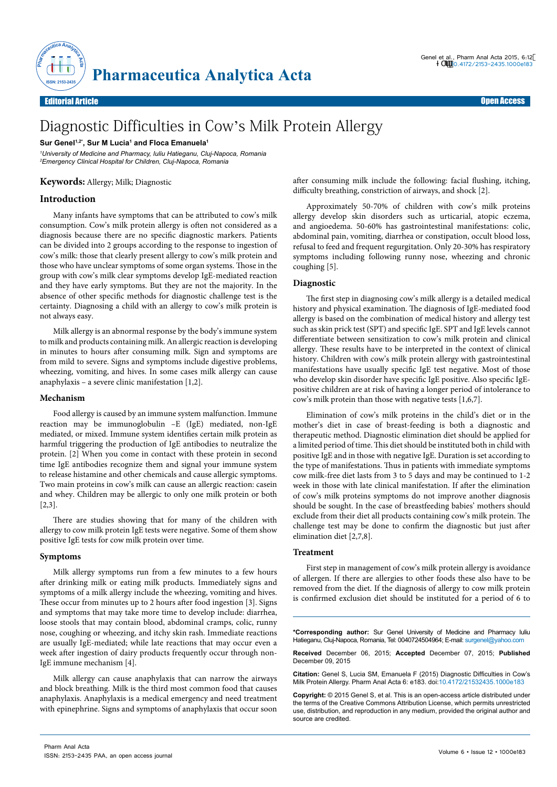

# Editorial Article Open Access

# Diagnostic Difficulties in Cow's Milk Protein Allergy

#### **Sur Genel1,2\*, Sur M Lucia1 and Floca Emanuela1**

*1 University of Medicine and Pharmacy, Iuliu Hatieganu, Cluj-Napoca, Romania 2 Emergency Clinical Hospital for Children, Cluj-Napoca, Romania*

# **Keywords:** Allergy; Milk; Diagnostic

# **Introduction**

Many infants have symptoms that can be attributed to cow's milk consumption. Cow's milk protein allergy is often not considered as a diagnosis because there are no specific diagnostic markers. Patients can be divided into 2 groups according to the response to ingestion of cow's milk: those that clearly present allergy to cow's milk protein and those who have unclear symptoms of some organ systems. Those in the group with cow's milk clear symptoms develop IgE-mediated reaction and they have early symptoms. But they are not the majority. In the absence of other specific methods for diagnostic challenge test is the certainty. Diagnosing a child with an allergy to cow's milk protein is not always easy.

Milk allergy is an abnormal response by the body's immune system to milk and products containing milk. An allergic reaction is developing in minutes to hours after consuming milk. Sign and symptoms are from mild to severe. Signs and symptoms include digestive problems, wheezing, vomiting, and hives. In some cases milk allergy can cause anaphylaxis – a severe clinic manifestation [1,2].

#### **Mechanism**

Food allergy is caused by an immune system malfunction. Immune reaction may be immunoglobulin –E (IgE) mediated, non-IgE mediated, or mixed. Immune system identifies certain milk protein as harmful triggering the production of IgE antibodies to neutralize the protein. [2] When you come in contact with these protein in second time IgE antibodies recognize them and signal your immune system to release histamine and other chemicals and cause allergic symptoms. Two main proteins in cow's milk can cause an allergic reaction: casein and whey. Children may be allergic to only one milk protein or both [2,3].

There are studies showing that for many of the children with allergy to cow milk protein IgE tests were negative. Some of them show positive IgE tests for cow milk protein over time.

### **Symptoms**

Milk allergy symptoms run from a few minutes to a few hours after drinking milk or eating milk products. Immediately signs and symptoms of a milk allergy include the wheezing, vomiting and hives. These occur from minutes up to 2 hours after food ingestion [3]. Signs and symptoms that may take more time to develop include: diarrhea, loose stools that may contain blood, abdominal cramps, colic, runny nose, coughing or wheezing, and itchy skin rash. Immediate reactions are usually IgE-mediated; while late reactions that may occur even a week after ingestion of dairy products frequently occur through non-IgE immune mechanism [4].

Milk allergy can cause anaphylaxis that can narrow the airways and block breathing. Milk is the third most common food that causes anaphylaxis. Anaphylaxis is a medical emergency and need treatment with epinephrine. Signs and symptoms of anaphylaxis that occur soon

after consuming milk include the following: facial flushing, itching, difficulty breathing, constriction of airways, and shock [2].

Approximately 50-70% of children with cow's milk proteins allergy develop skin disorders such as urticarial, atopic eczema, and angioedema. 50-60% has gastrointestinal manifestations: colic, abdominal pain, vomiting, diarrhea or constipation, occult blood loss, refusal to feed and frequent regurgitation. Only 20-30% has respiratory symptoms including following runny nose, wheezing and chronic coughing [5].

# **Diagnostic**

The first step in diagnosing cow's milk allergy is a detailed medical history and physical examination. The diagnosis of IgE-mediated food allergy is based on the combination of medical history and allergy test such as skin prick test (SPT) and specific IgE. SPT and IgE levels cannot differentiate between sensitization to cow's milk protein and clinical allergy. These results have to be interpreted in the context of clinical history. Children with cow's milk protein allergy with gastrointestinal manifestations have usually specific IgE test negative. Most of those who develop skin disorder have specific IgE positive. Also specific IgEpositive children are at risk of having a longer period of intolerance to cow's milk protein than those with negative tests [1,6,7].

Elimination of cow's milk proteins in the child's diet or in the mother's diet in case of breast-feeding is both a diagnostic and therapeutic method. Diagnostic elimination diet should be applied for a limited period of time. This diet should be instituted both in child with positive IgE and in those with negative IgE. Duration is set according to the type of manifestations. Thus in patients with immediate symptoms cow milk-free diet lasts from 3 to 5 days and may be continued to 1-2 week in those with late clinical manifestation. If after the elimination of cow's milk proteins symptoms do not improve another diagnosis should be sought. In the case of breastfeeding babies' mothers should exclude from their diet all products containing cow's milk protein. The challenge test may be done to confirm the diagnostic but just after elimination diet [2,7,8].

#### **Treatment**

First step in management of cow's milk protein allergy is avoidance of allergen. If there are allergies to other foods these also have to be removed from the diet. If the diagnosis of allergy to cow milk protein is confirmed exclusion diet should be instituted for a period of 6 to

**\*Corresponding author:** Sur Genel University of Medicine and Pharmacy Iuliu Hatieganu, Cluj-Napoca, Romania, Tel: 0040724504964; E-mail: surgenel@yahoo.com

**Received** December 06, 2015; **Accepted** December 07, 2015; **Published** December 09, 2015

**Citation:** Genel S, Lucia SM, Emanuela F (2015) Diagnostic Difficulties in Cow's Milk Protein Allergy. Pharm Anal Acta 6: e183. doi:10.4172/21532435.1000e183

**Copyright:** © 2015 Genel S, et al. This is an open-access article distributed under the terms of the Creative Commons Attribution License, which permits unrestricted use, distribution, and reproduction in any medium, provided the original author and source are credited.